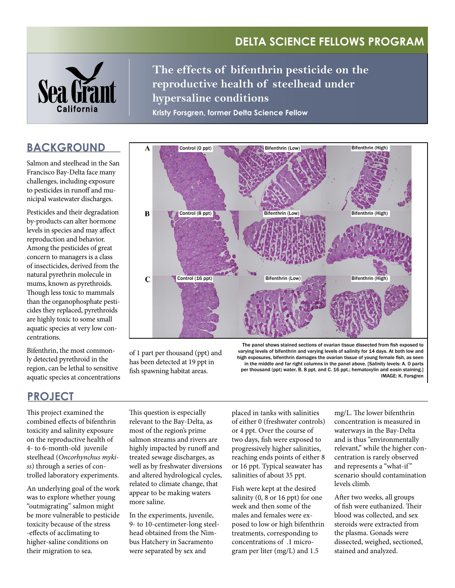# **Delta Science Fellows Program**



**The effects of bifenthrin pesticide on the reproductive health of steelhead under hypersaline conditions**

**Kristy Forsgren, former Delta Science Fellow**

## **BACKGROUND**

Salmon and steelhead in the San Francisco Bay-Delta face many challenges, including exposure to pesticides in runoff and municipal wastewater discharges.

Pesticides and their degradation by-products can alter hormone levels in species and may affect reproduction and behavior. Among the pesticides of great concern to managers is a class of insecticides, derived from the natural pyrethrin molecule in mums, known as pyrethroids. Though less toxic to mammals than the organophosphate pesticides they replaced, pyrethroids are highly toxic to some small aquatic species at very low concentrations.

Bifenthrin, the most commonly detected pyrethroid in the region, can be lethal to sensitive aquatic species at concentrations



of 1 part per thousand (ppt) and has been detected at 19 ppt in fish spawning habitat areas.

The panel shows stained sections of ovarian tissue dissected from fish exposed to varying levels of bifenthrin and varying levels of salinity for 14 days. At both low and high exposures, bifenthrin damages the ovarian tissue of young female fish, as seen in the middle and far right columns in the panel above. [Salinity levels: A. 0 parts per thousand (ppt) water, B. 8 ppt, and C. 16 ppt.; hematoxylin and eosin staining.] IMAGE: K. Forsgren

## **ProJECT**

This project examined the combined effects of bifenthrin toxicity and salinity exposure on the reproductive health of 4- to 6-month-old juvenile steelhead (*Oncorhynchus mykiss*) through a series of controlled laboratory experiments.

An underlying goal of the work was to explore whether young "outmigrating" salmon might be more vulnerable to pesticide toxicity because of the stress -effects of acclimating to higher-saline conditions on their migration to sea.

This question is especially relevant to the Bay-Delta, as most of the region's prime salmon streams and rivers are highly impacted by runoff and treated sewage discharges, as well as by freshwater diversions and altered hydrological cycles, related to climate change, that appear to be making waters more saline.

In the experiments, juvenile, 9- to 10-centimeter-long steelhead obtained from the Nimbus Hatchery in Sacramento were separated by sex and

placed in tanks with salinities of either 0 (freshwater controls) or 4 ppt. Over the course of two days, fish were exposed to progressively higher salinities, reaching ends points of either 8 or 16 ppt. Typical seawater has salinities of about 35 ppt.

Fish were kept at the desired salinity (0, 8 or 16 ppt) for one week and then some of the males and females were exposed to low or high bifenthrin treatments, corresponding to concentrations of .1 microgram per liter (mg/L) and 1.5

mg/L. The lower bifenthrin concentration is measured in waterways in the Bay-Delta and is thus "environmentally relevant," while the higher concentration is rarely observed and represents a "what-if " scenario should contamination levels climb.

After two weeks, all groups of fish were euthanized. Their blood was collected, and sex steroids were extracted from the plasma. Gonads were dissected, weighed, sectioned, stained and analyzed.